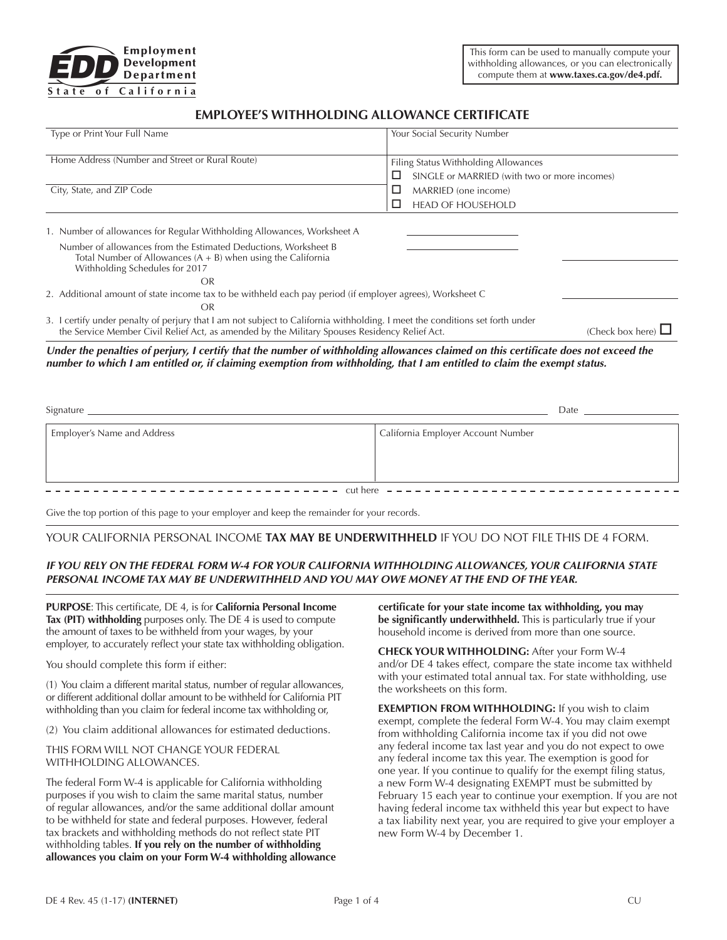

# **EMPLOYEE'S WITHHOLDING ALLOWANCE CERTIFICATE**

| Type or Print Your Full Name                                                                                                                                                                                                                                    | Your Social Security Number                       |  |  |  |
|-----------------------------------------------------------------------------------------------------------------------------------------------------------------------------------------------------------------------------------------------------------------|---------------------------------------------------|--|--|--|
| Home Address (Number and Street or Rural Route)                                                                                                                                                                                                                 | Filing Status Withholding Allowances              |  |  |  |
|                                                                                                                                                                                                                                                                 | □<br>SINGLE or MARRIED (with two or more incomes) |  |  |  |
| City, State, and ZIP Code                                                                                                                                                                                                                                       | MARRIED (one income)<br>ப                         |  |  |  |
|                                                                                                                                                                                                                                                                 | <b>HEAD OF HOUSEHOLD</b>                          |  |  |  |
| 1. Number of allowances for Regular Withholding Allowances, Worksheet A                                                                                                                                                                                         |                                                   |  |  |  |
| Number of allowances from the Estimated Deductions, Worksheet B<br>Total Number of Allowances $(A + B)$ when using the California<br>Withholding Schedules for 2017                                                                                             |                                                   |  |  |  |
| <b>OR</b>                                                                                                                                                                                                                                                       |                                                   |  |  |  |
| 2. Additional amount of state income tax to be withheld each pay period (if employer agrees), Worksheet C                                                                                                                                                       |                                                   |  |  |  |
| <b>OR</b>                                                                                                                                                                                                                                                       |                                                   |  |  |  |
| 3. I certify under penalty of perjury that I am not subject to California withholding. I meet the conditions set forth under<br>the Service Member Civil Relief Act, as amended by the Military Spouses Residency Relief Act.                                   | (Check box here) $\Box$                           |  |  |  |
| Under the penalties of perjury, I certify that the number of withholding allowances claimed on this certificate does not exceed the<br>number to which I am entitled or, if claiming exemption from withholding, that I am entitled to claim the exempt status. |                                                   |  |  |  |
|                                                                                                                                                                                                                                                                 |                                                   |  |  |  |

| Signature                          | Date                               |
|------------------------------------|------------------------------------|
| <b>Employer's Name and Address</b> | California Employer Account Number |
|                                    | cut here –––––––––––––––––––––     |

Give the top portion of this page to your employer and keep the remainder for your records.

# YOUR CALIFORNIA PERSONAL INCOME **TAX MAY BE UNDERWITHHELD** IF YOU DO NOT FILE THIS DE 4 FORM.

# *IF YOU RELY ON THE FEDERAL FORM W-4 FOR YOUR CALIFORNIA WITHHOLDING ALLOWANCES, YOUR CALIFORNIA STATE PERSONAL INCOME TAX MAY BE UNDERWITHHELD AND YOU MAY OWE MONEY AT THE END OF THE YEAR.*

**PURPOSE**: This certificate, DE 4, is for **California Personal Income Tax (PIT) withholding** purposes only. The DE 4 is used to compute the amount of taxes to be withheld from your wages, by your employer, to accurately reflect your state tax withholding obligation.

You should complete this form if either:

(1) You claim a different marital status, number of regular allowances, or different additional dollar amount to be withheld for California PIT withholding than you claim for federal income tax withholding or,

(2) You claim additional allowances for estimated deductions.

THIS FORM WILL NOT CHANGE YOUR FEDERAL WITHHOLDING ALLOWANCES.

The federal Form W-4 is applicable for California withholding purposes if you wish to claim the same marital status, number of regular allowances, and/or the same additional dollar amount to be withheld for state and federal purposes. However, federal tax brackets and withholding methods do not reflect state PIT withholding tables. **If you rely on the number of withholding allowances you claim on your Form W-4 withholding allowance**  **certificate for your state income tax withholding, you may be significantly underwithheld.** This is particularly true if your household income is derived from more than one source.

**CHECK YOUR WITHHOLDING:** After your Form W-4 and/or DE 4 takes effect, compare the state income tax withheld with your estimated total annual tax. For state withholding, use the worksheets on this form.

**EXEMPTION FROM WITHHOLDING:** If you wish to claim exempt, complete the federal Form W-4. You may claim exempt from withholding California income tax if you did not owe any federal income tax last year and you do not expect to owe any federal income tax this year. The exemption is good for one year. If you continue to qualify for the exempt filing status, a new Form W-4 designating EXEMPT must be submitted by February 15 each year to continue your exemption. If you are not having federal income tax withheld this year but expect to have a tax liability next year, you are required to give your employer a new Form W-4 by December 1.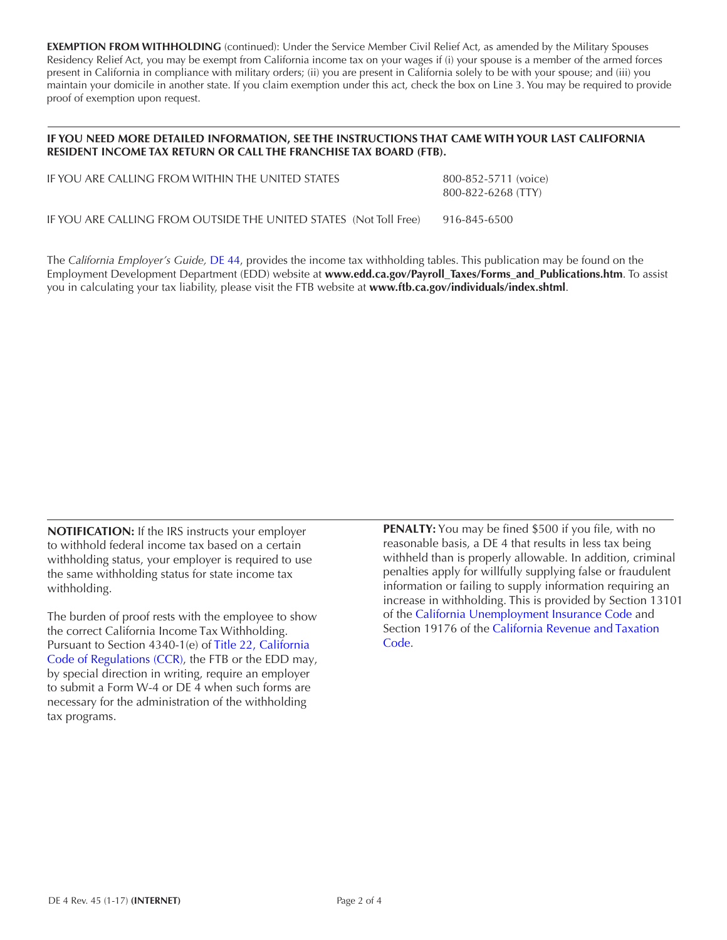**EXEMPTION FROM WITHHOLDING** (continued): Under the Service Member Civil Relief Act, as amended by the Military Spouses Residency Relief Act, you may be exempt from California income tax on your wages if (i) your spouse is a member of the armed forces present in California in compliance with military orders; (ii) you are present in California solely to be with your spouse; and (iii) you maintain your domicile in another state. If you claim exemption under this act, check the box on Line 3. You may be required to provide proof of exemption upon request.

# **IF YOU NEED MORE DETAILED INFORMATION, SEE THE INSTRUCTIONS THAT CAME WITH YOUR LAST CALIFORNIA RESIDENT INCOME TAX RETURN OR CALL THE FRANCHISE TAX BOARD (FTB).**

| IF YOU ARE CALLING FROM WITHIN THE UNITED STATES                  | 800-852-5711 (voice)<br>$800 - 822 - 6268$ (TTY) |
|-------------------------------------------------------------------|--------------------------------------------------|
| IF YOU ARE CALLING FROM OUTSIDE THE UNITED STATES (Not Toll Free) | 916-845-6500                                     |

The *California Employer's Guide,* [DE 44](http://www.edd.ca.gov/pdf_pub_ctr/de44.pdf), provides the income tax withholding tables. This publication may be found on the Employment Development Department (EDD) website at **www.edd.ca.gov/Payroll\_Taxes/Forms\_and\_Publications.htm**. To assist you in calculating your tax liability, please visit the FTB website at **www.ftb.ca.gov/individuals/index.shtml**.

**NOTIFICATION:** If the IRS instructs your employer to withhold federal income tax based on a certain withholding status, your employer is required to use the same withholding status for state income tax withholding.

The burden of proof rests with the employee to show the correct California Income Tax Withholding. Pursuant to Section 4340-1(e) of [Title 22, California](https://govt.westlaw.com/calregs/Search/Index)  [Code of Regulations \(CCR\),](https://govt.westlaw.com/calregs/Search/Index) the FTB or the EDD may, by special direction in writing, require an employer to submit a Form W-4 or DE 4 when such forms are necessary for the administration of the withholding tax programs.

**PENALTY:** You may be fined \$500 if you file, with no reasonable basis, a DE 4 that results in less tax being withheld than is properly allowable. In addition, criminal penalties apply for willfully supplying false or fraudulent information or failing to supply information requiring an increase in withholding. This is provided by Section 13101 of the [California Unemployment Insurance Code](http://leginfo.legislature.ca.gov/faces/codes.xhtml) and Section 19176 of the California R[evenue and Taxa](http://leginfo.legislature.ca.gov/faces/codes.xhtml)tion Code.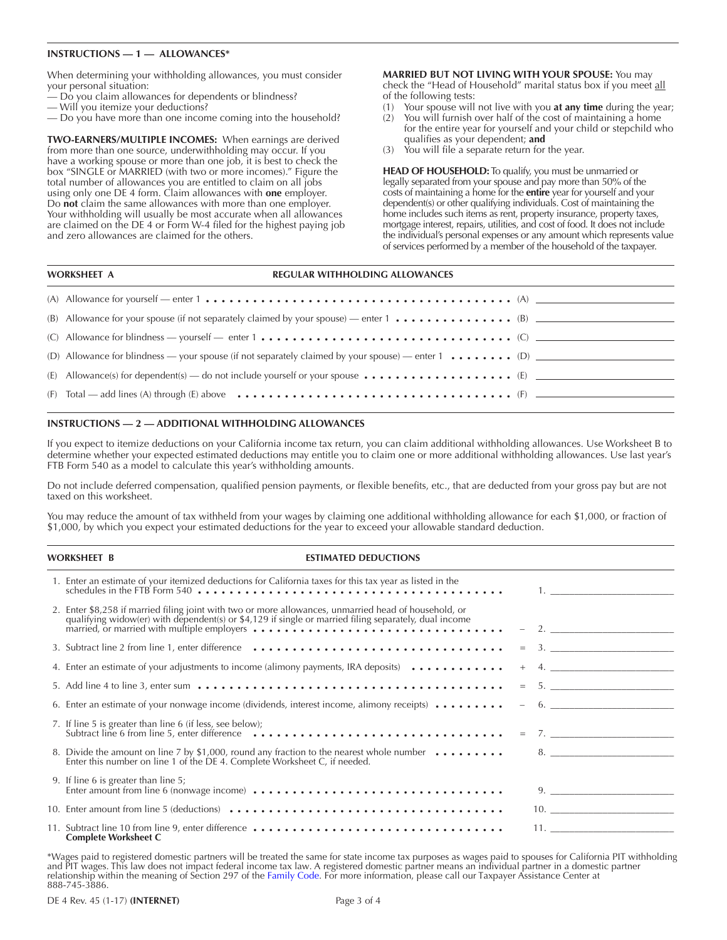### **INSTRUCTIONS — 1 — ALLOWANCES\***

When determining your withholding allowances, you must consider your personal situation:

- Do you claim allowances for dependents or blindness?
- Will you itemize your deductions?
- Do you have more than one income coming into the household?

**TWO-EARNERS/MULTIPLE INCOMES:** When earnings are derived from more than one source, underwithholding may occur. If you have a working spouse or more than one job, it is best to check the box "SINGLE or MARRIED (with two or more incomes)." Figure the total number of allowances you are entitled to claim on all jobs using only one DE 4 form. Claim allowances with **one** employer. Do **not** claim the same allowances with more than one employer. Your withholding will usually be most accurate when all allowances are claimed on the DE 4 or Form W-4 filed for the highest paying job and zero allowances are claimed for the others.

**MARRIED BUT NOT LIVING WITH YOUR SPOUSE:** You may check the "Head of Household" marital status box if you meet all of the following tests:

- (1) Your spouse will not live with you **at any time** during the year;
- (2) You will furnish over half of the cost of maintaining a home for the entire year for yourself and your child or stepchild who qualifies as your dependent; **and**
- (3) You will file a separate return for the year.

**HEAD OF HOUSEHOLD:** To qualify, you must be unmarried or legally separated from your spouse and pay more than 50% of the costs of maintaining a home for the **entire** year for yourself and your dependent(s) or other qualifying individuals. Cost of maintaining the home includes such items as rent, property insurance, property taxes, mortgage interest, repairs, utilities, and cost of food. It does not include the individual's personal expenses or any amount which represents value of services performed by a member of the household of the taxpayer.

#### **WORKSHEET A REGULAR WITHHOLDING ALLOWANCES**

| (B) Allowance for your spouse (if not separately claimed by your spouse) — enter $1 \cdot \cdot \cdot \cdot \cdot \cdot \cdot \cdot \cdot \cdot \cdot \cdot \cdot$ (B) |
|------------------------------------------------------------------------------------------------------------------------------------------------------------------------|
| (C) Allowance for blindness — yourself — enter 1 $\dots$ , $\dots$ , $\dots$ , $\dots$ , $\dots$ , $\dots$ , $\dots$ , $\dots$ , $\dots$ , $\dots$ , $\dots$           |
| (D) Allowance for blindness — your spouse (if not separately claimed by your spouse) — enter $1 \cdot \cdot \cdot \cdot \cdot \cdot \cdot$ (D)                         |
| (E) Allowance(s) for dependent(s) — do not include yourself or your spouse $\dots \dots \dots \dots \dots \dots$ (E) $\qquad \qquad$                                   |
|                                                                                                                                                                        |

#### **INSTRUCTIONS — 2 — ADDITIONAL WITHHOLDING ALLOWANCES**

If you expect to itemize deductions on your California income tax return, you can claim additional withholding allowances. Use Worksheet B to determine whether your expected estimated deductions may entitle you to claim one or more additional withholding allowances. Use last year's FTB Form 540 as a model to calculate this year's withholding amounts.

Do not include deferred compensation, qualified pension payments, or flexible benefits, etc., that are deducted from your gross pay but are not taxed on this worksheet.

You may reduce the amount of tax withheld from your wages by claiming one additional withholding allowance for each \$1,000, or fraction of \$1,000, by which you expect your estimated deductions for the year to exceed your allowable standard deduction.

#### **WORKSHEET B ESTIMATED DEDUCTIONS**

| 1. Enter an estimate of your itemized deductions for California taxes for this tax year as listed in the<br>schedules in the FTB Form 540 $\dots\dots\dots\dots\dots\dots\dots\dots\dots\dots\dots\dots\dots\dots$                                                                                                                                                                                                                            |        |
|-----------------------------------------------------------------------------------------------------------------------------------------------------------------------------------------------------------------------------------------------------------------------------------------------------------------------------------------------------------------------------------------------------------------------------------------------|--------|
| 2. Enter \$8,258 if married filing joint with two or more allowances, unmarried head of household, or<br>qualifying widow(er) with dependent(s) or \$4,129 if single or married filing separately, dual income<br>$r_1$ and $r_2$ and $r_3$ and $r_4$ and $r_5$ and $r_6$ are $r_7$ and $r_7$ are $r_8$ are $r_9$ and $r_9$ and $r_9$ and $r_9$ and $r_9$ and $r_9$ and $r_9$ and $r_9$ and $r_9$ and $r_9$ and $r_9$ and $r_9$ and $r_9$ and |        |
| 3. Subtract line 2 from line 1, enter difference ……………………………………………………………………………………                                                                                                                                                                                                                                                                                                                                                             | $=$ 3. |
| 4. Enter an estimate of your adjustments to income (alimony payments, IRA deposits)                                                                                                                                                                                                                                                                                                                                                           | $+$ 4. |
| 5. Add line 4 to line 3, enter sum $\dots\dots\dots\dots\dots\dots\dots\dots\dots\dots\dots\dots\dots\dots\dots\dots\dots$                                                                                                                                                                                                                                                                                                                    | $=$ 5. |
| 6. Enter an estimate of your nonwage income (dividends, interest income, alimony receipts) $\dots \dots$                                                                                                                                                                                                                                                                                                                                      | $-6.$  |
| 7. If line 5 is greater than line 6 (if less, see below);<br>Subtract line 6 from line 5, enter difference $\cdots$ $\cdots$ $\cdots$ $\cdots$ $\cdots$ $\cdots$ $\cdots$ $\cdots$ $\cdots$ = 7.                                                                                                                                                                                                                                              |        |
| 8. Divide the amount on line 7 by \$1,000, round any fraction to the nearest whole number $\dots \dots$<br>Enter this number on line 1 of the DE 4. Complete Worksheet C, if needed.                                                                                                                                                                                                                                                          | 8.     |
| 9. If line 6 is greater than line 5;                                                                                                                                                                                                                                                                                                                                                                                                          | 9.     |
|                                                                                                                                                                                                                                                                                                                                                                                                                                               | 10.    |
| <b>Complete Worksheet C</b>                                                                                                                                                                                                                                                                                                                                                                                                                   | 11.    |

\*Wages paid to registered domestic partners will be treated the same for state income tax purposes as wages paid to spouses for California PIT withholding and PIT wages. This law does not impact federal income tax law. A registered domestic partner means an individual partner in a domestic partner relationship within the meaning of Section 297 of the [Family Code.](http://leginfo.legislature.ca.gov/faces/codes.xhtml) For more information, please call our Taxpayer Assistance Center at 888-745-3886.